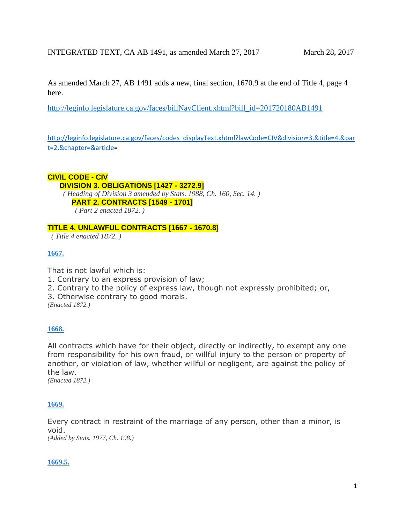As amended March 27, AB 1491 adds a new, final section, 1670.9 at the end of Title 4, page 4 here.

[http://leginfo.legislature.ca.gov/faces/billNavClient.xhtml?bill\\_id=201720180AB1491](http://leginfo.legislature.ca.gov/faces/billNavClient.xhtml?bill_id=201720180AB1491)

[http://leginfo.legislature.ca.gov/faces/codes\\_displayText.xhtml?lawCode=CIV&division=3.&title=4.&par](http://leginfo.legislature.ca.gov/faces/codes_displayText.xhtml?lawCode=CIV&division=3.&title=4.&part=2.&chapter=&article) [t=2.&chapter=&article=](http://leginfo.legislature.ca.gov/faces/codes_displayText.xhtml?lawCode=CIV&division=3.&title=4.&part=2.&chapter=&article)

#### **CIVIL CODE - CIV**

#### **DIVISION 3. OBLIGATIONS [1427 - 3272.9]**

*( Heading of Division 3 amended by Stats. 1988, Ch. 160, Sec. 14. )*

## **PART 2. CONTRACTS [1549 - 1701]**

*( Part 2 enacted 1872. )*

### **TITLE 4. UNLAWFUL CONTRACTS [1667 - 1670.8]**

*( Title 4 enacted 1872. )*

### **[1667.](javascript:submitCodesValues()**

That is not lawful which is:

- 1. Contrary to an express provision of law;
- 2. Contrary to the policy of express law, though not expressly prohibited; or,
- 3. Otherwise contrary to good morals.

*(Enacted 1872.)*

## **[1668.](javascript:submitCodesValues()**

All contracts which have for their object, directly or indirectly, to exempt any one from responsibility for his own fraud, or willful injury to the person or property of another, or violation of law, whether willful or negligent, are against the policy of the law.

*(Enacted 1872.)*

### **[1669.](javascript:submitCodesValues()**

Every contract in restraint of the marriage of any person, other than a minor, is void.

*(Added by Stats. 1977, Ch. 198.)*

### **[1669.5.](javascript:submitCodesValues()**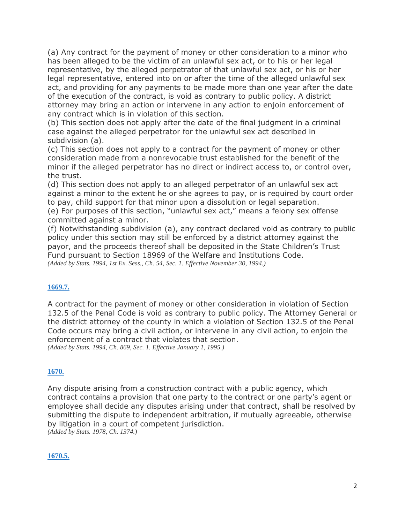(a) Any contract for the payment of money or other consideration to a minor who has been alleged to be the victim of an unlawful sex act, or to his or her legal representative, by the alleged perpetrator of that unlawful sex act, or his or her legal representative, entered into on or after the time of the alleged unlawful sex act, and providing for any payments to be made more than one year after the date of the execution of the contract, is void as contrary to public policy. A district attorney may bring an action or intervene in any action to enjoin enforcement of any contract which is in violation of this section.

(b) This section does not apply after the date of the final judgment in a criminal case against the alleged perpetrator for the unlawful sex act described in subdivision (a).

(c) This section does not apply to a contract for the payment of money or other consideration made from a nonrevocable trust established for the benefit of the minor if the alleged perpetrator has no direct or indirect access to, or control over, the trust.

(d) This section does not apply to an alleged perpetrator of an unlawful sex act against a minor to the extent he or she agrees to pay, or is required by court order to pay, child support for that minor upon a dissolution or legal separation. (e) For purposes of this section, "unlawful sex act," means a felony sex offense

committed against a minor.

(f) Notwithstanding subdivision (a), any contract declared void as contrary to public policy under this section may still be enforced by a district attorney against the payor, and the proceeds thereof shall be deposited in the State Children's Trust Fund pursuant to Section 18969 of the Welfare and Institutions Code. *(Added by Stats. 1994, 1st Ex. Sess., Ch. 54, Sec. 1. Effective November 30, 1994.)*

### **[1669.7.](javascript:submitCodesValues()**

A contract for the payment of money or other consideration in violation of Section 132.5 of the Penal Code is void as contrary to public policy. The Attorney General or the district attorney of the county in which a violation of Section 132.5 of the Penal Code occurs may bring a civil action, or intervene in any civil action, to enjoin the enforcement of a contract that violates that section. *(Added by Stats. 1994, Ch. 869, Sec. 1. Effective January 1, 1995.)*

### **[1670.](javascript:submitCodesValues()**

Any dispute arising from a construction contract with a public agency, which contract contains a provision that one party to the contract or one party's agent or employee shall decide any disputes arising under that contract, shall be resolved by submitting the dispute to independent arbitration, if mutually agreeable, otherwise by litigation in a court of competent jurisdiction. *(Added by Stats. 1978, Ch. 1374.)*

### **[1670.5.](javascript:submitCodesValues()**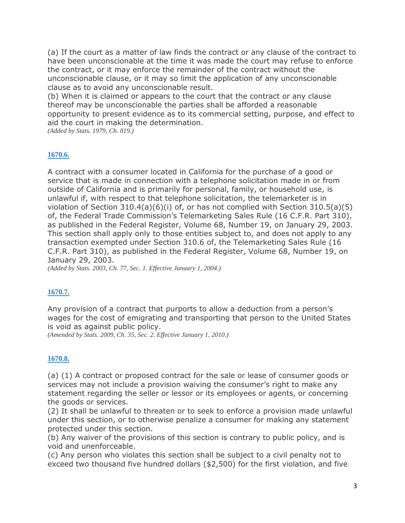(a) If the court as a matter of law finds the contract or any clause of the contract to have been unconscionable at the time it was made the court may refuse to enforce the contract, or it may enforce the remainder of the contract without the unconscionable clause, or it may so limit the application of any unconscionable clause as to avoid any unconscionable result.

(b) When it is claimed or appears to the court that the contract or any clause thereof may be unconscionable the parties shall be afforded a reasonable opportunity to present evidence as to its commercial setting, purpose, and effect to aid the court in making the determination.

*(Added by Stats. 1979, Ch. 819.)*

## **[1670.6.](javascript:submitCodesValues()**

A contract with a consumer located in California for the purchase of a good or service that is made in connection with a telephone solicitation made in or from outside of California and is primarily for personal, family, or household use, is unlawful if, with respect to that telephone solicitation, the telemarketer is in violation of Section 310.4(a)(6)(i) of, or has not complied with Section 310.5(a)(5) of, the Federal Trade Commission's Telemarketing Sales Rule (16 C.F.R. Part 310), as published in the Federal Register, Volume 68, Number 19, on January 29, 2003. This section shall apply only to those entities subject to, and does not apply to any transaction exempted under Section 310.6 of, the Telemarketing Sales Rule (16 C.F.R. Part 310), as published in the Federal Register, Volume 68, Number 19, on January 29, 2003.

*(Added by Stats. 2003, Ch. 77, Sec. 1. Effective January 1, 2004.)*

## **[1670.7.](javascript:submitCodesValues()**

Any provision of a contract that purports to allow a deduction from a person's wages for the cost of emigrating and transporting that person to the United States is void as against public policy.

*(Amended by Stats. 2009, Ch. 35, Sec. 2. Effective January 1, 2010.)*

### **[1670.8.](javascript:submitCodesValues()**

(a) (1) A contract or proposed contract for the sale or lease of consumer goods or services may not include a provision waiving the consumer's right to make any statement regarding the seller or lessor or its employees or agents, or concerning the goods or services.

(2) It shall be unlawful to threaten or to seek to enforce a provision made unlawful under this section, or to otherwise penalize a consumer for making any statement protected under this section.

(b) Any waiver of the provisions of this section is contrary to public policy, and is void and unenforceable.

(c) Any person who violates this section shall be subject to a civil penalty not to exceed two thousand five hundred dollars (\$2,500) for the first violation, and five